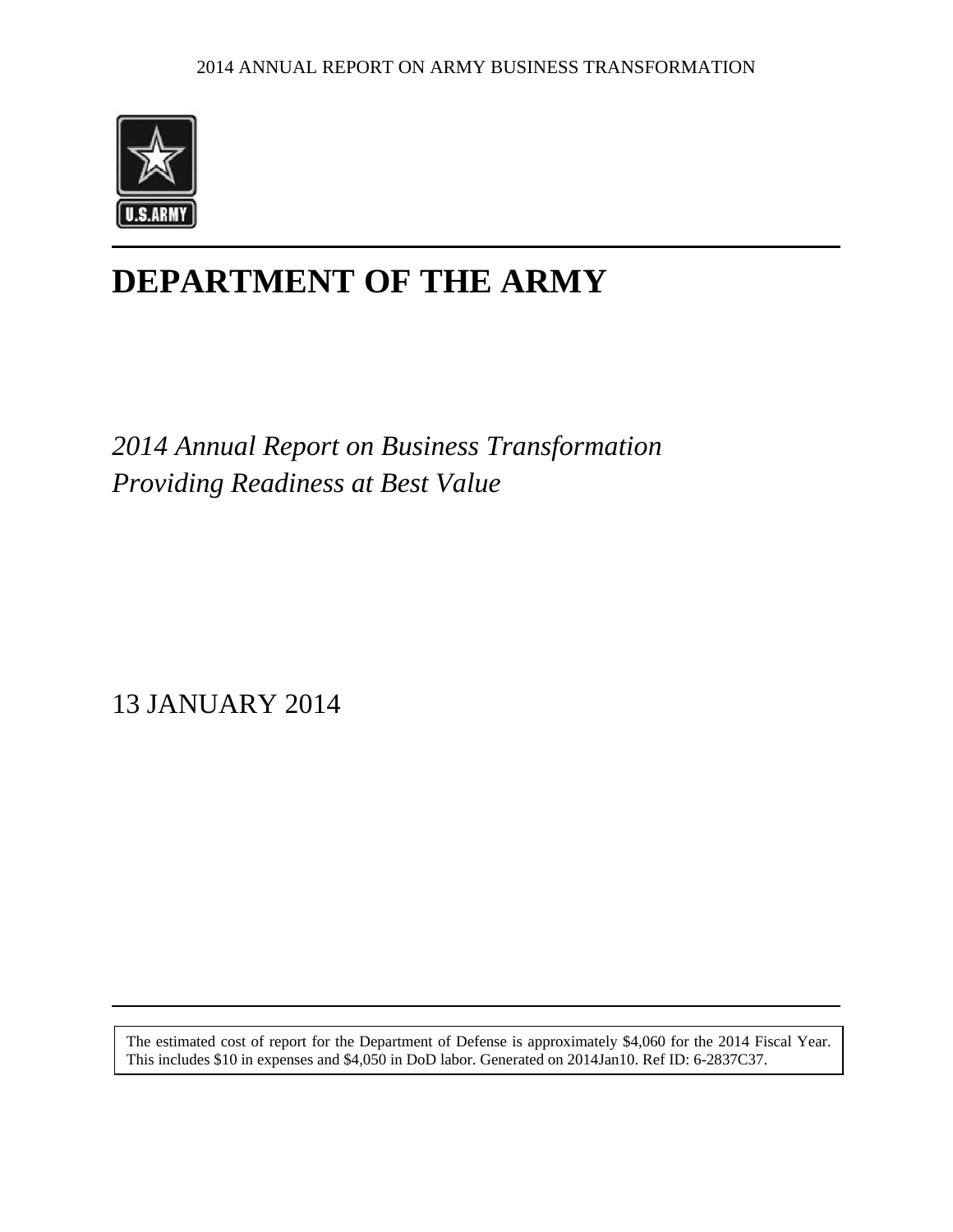

# **DEPARTMENT OF THE ARMY**

*2014 Annual Report on Business Transformation Providing Readiness at Best Value* 

13 JANUARY 2014

The estimated cost of report for the Department of Defense is approximately \$4,060 for the 2014 Fiscal Year. This includes \$10 in expenses and \$4,050 in DoD labor. Generated on 2014Jan10. Ref ID: 6-2837C37.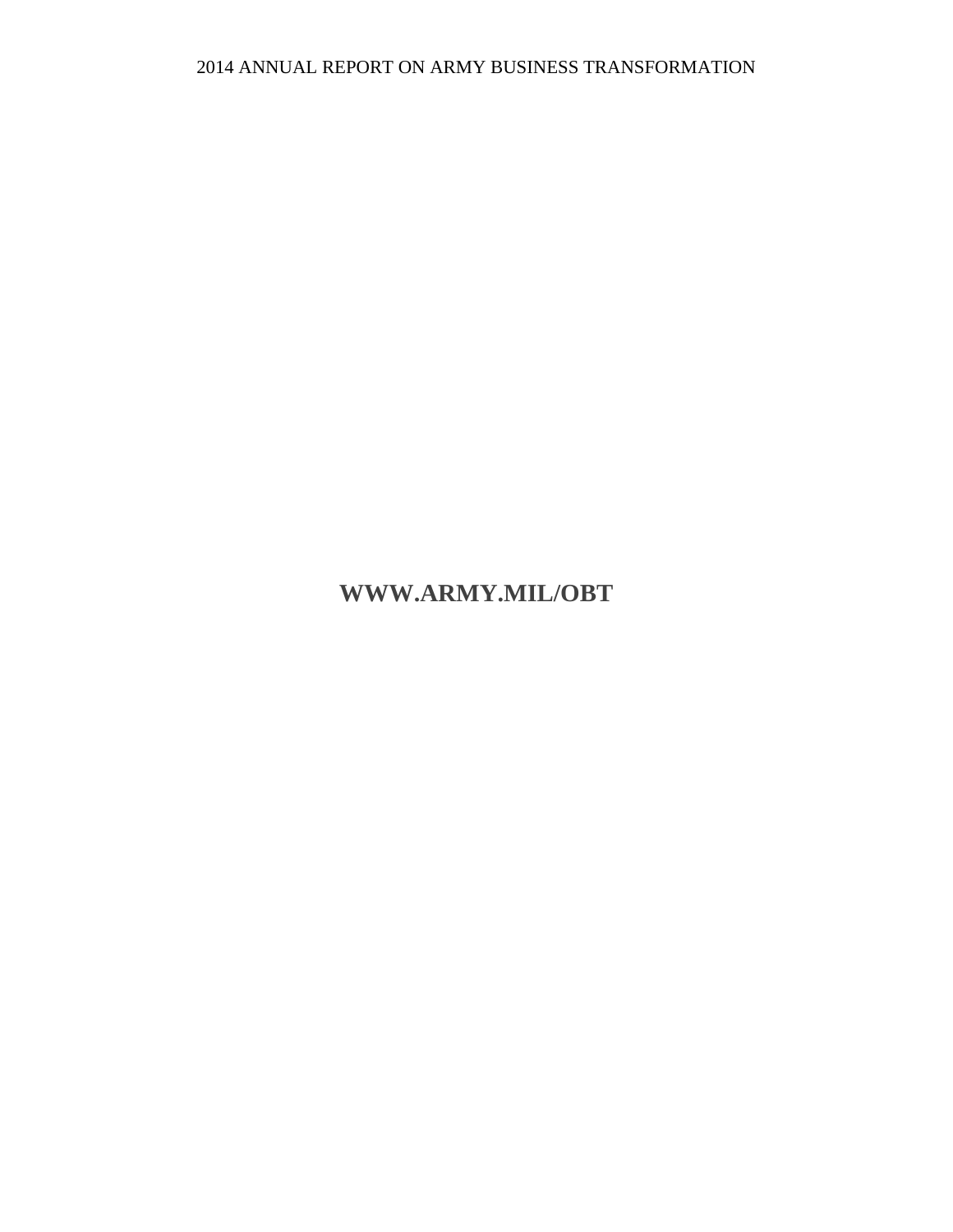## **WWW.ARMY.MIL/OBT**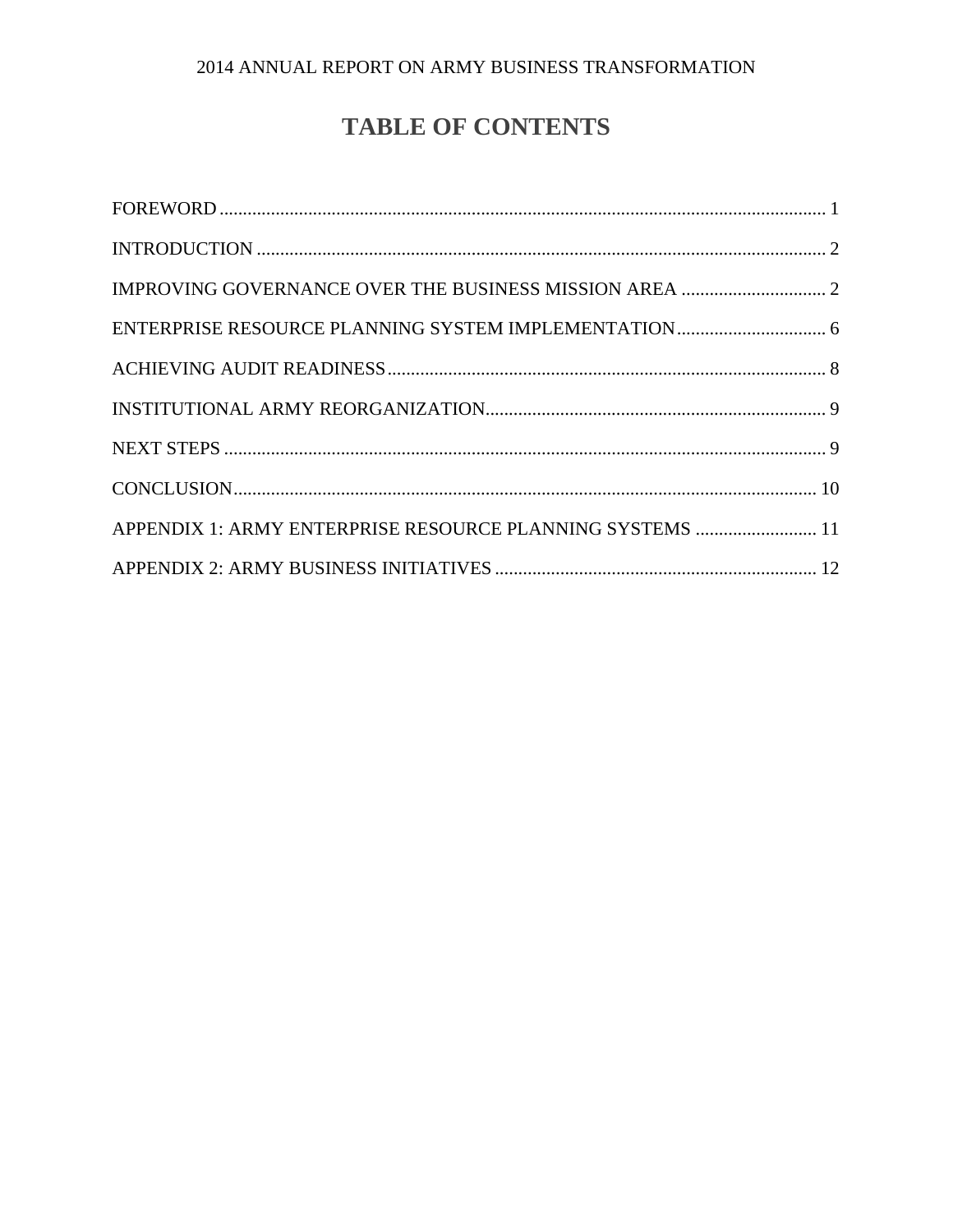# **TABLE OF CONTENTS**

| APPENDIX 1: ARMY ENTERPRISE RESOURCE PLANNING SYSTEMS  11 |  |
|-----------------------------------------------------------|--|
|                                                           |  |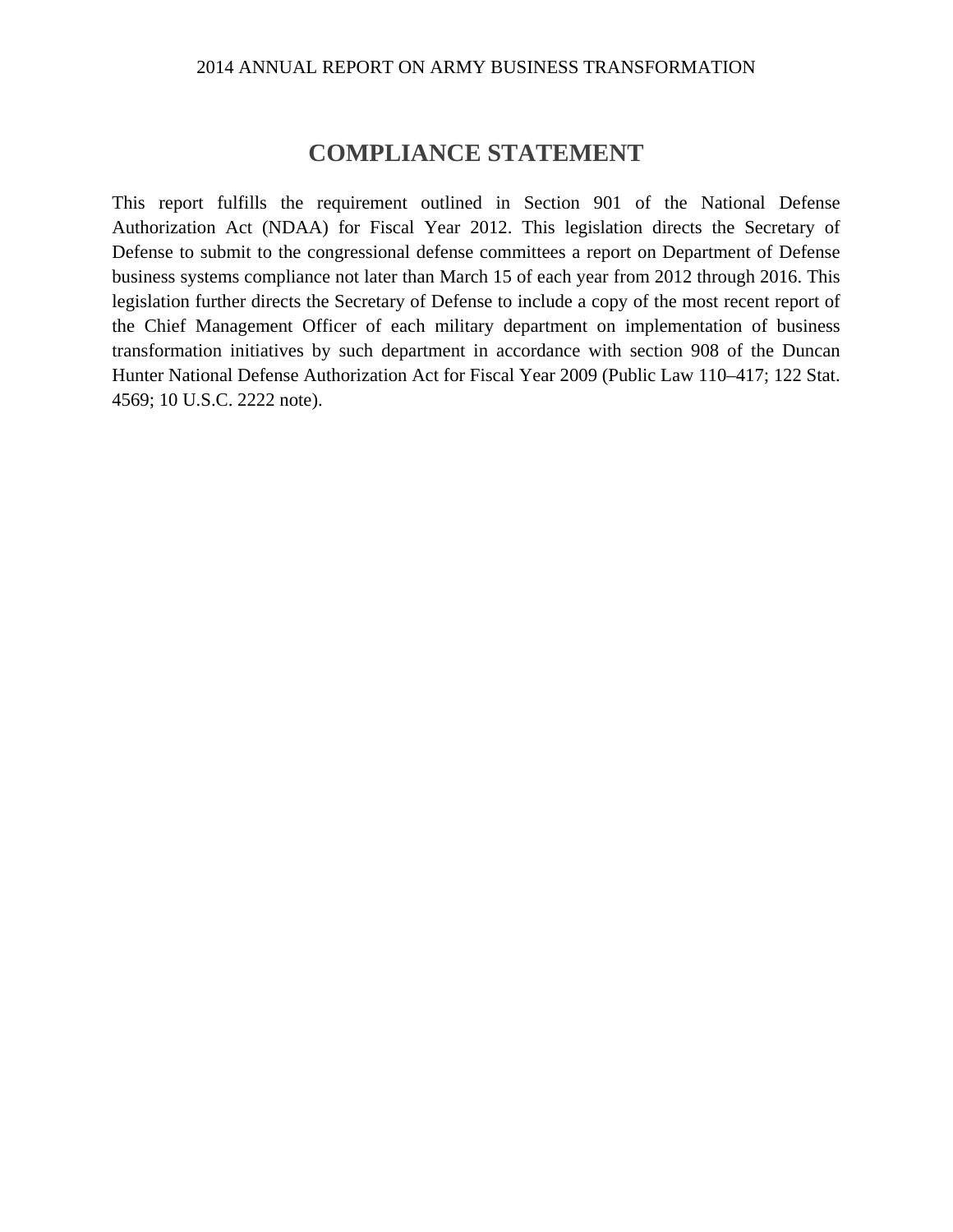### **COMPLIANCE STATEMENT**

This report fulfills the requirement outlined in Section 901 of the National Defense Authorization Act (NDAA) for Fiscal Year 2012. This legislation directs the Secretary of Defense to submit to the congressional defense committees a report on Department of Defense business systems compliance not later than March 15 of each year from 2012 through 2016. This legislation further directs the Secretary of Defense to include a copy of the most recent report of the Chief Management Officer of each military department on implementation of business transformation initiatives by such department in accordance with section 908 of the Duncan Hunter National Defense Authorization Act for Fiscal Year 2009 (Public Law 110–417; 122 Stat. 4569; 10 U.S.C. 2222 note).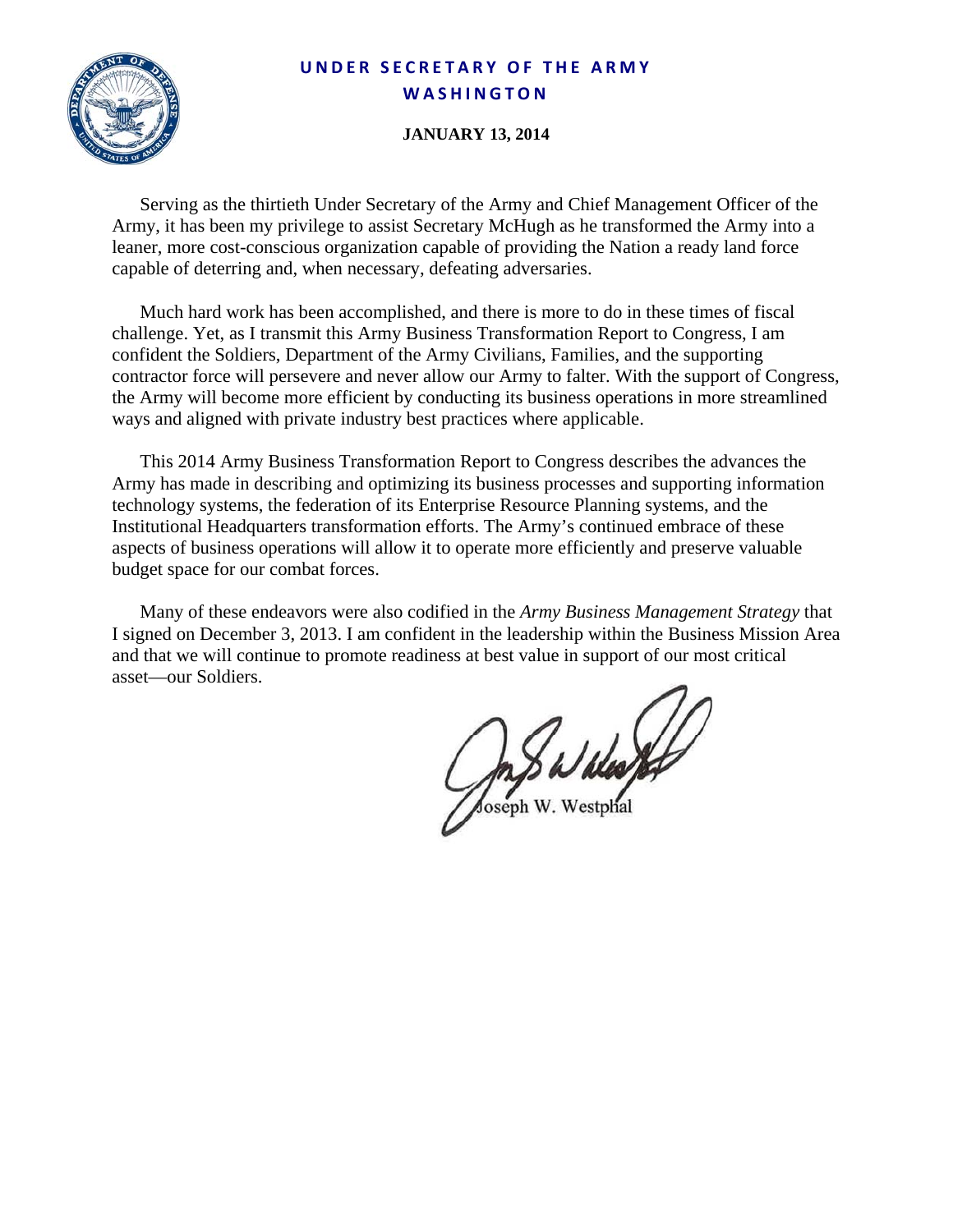### **UNDER SECRETARY O F THE ARMY WASHINGTON**



### **JANUARY 13, 2014**

Serving as the thirtieth Under Secretary of the Army and Chief Management Officer of the Army, it has been my privilege to assist Secretary McHugh as he transformed the Army into a leaner, more cost-conscious organization capable of providing the Nation a ready land force capable of deterring and, when necessary, defeating adversaries.

Much hard work has been accomplished, and there is more to do in these times of fiscal challenge. Yet, as I transmit this Army Business Transformation Report to Congress, I am confident the Soldiers, Department of the Army Civilians, Families, and the supporting contractor force will persevere and never allow our Army to falter. With the support of Congress, the Army will become more efficient by conducting its business operations in more streamlined ways and aligned with private industry best practices where applicable.

This 2014 Army Business Transformation Report to Congress describes the advances the Army has made in describing and optimizing its business processes and supporting information technology systems, the federation of its Enterprise Resource Planning systems, and the Institutional Headquarters transformation efforts. The Army's continued embrace of these aspects of business operations will allow it to operate more efficiently and preserve valuable budget space for our combat forces.

Many of these endeavors were also codified in the *Army Business Management Strategy* that I signed on December 3, 2013. I am confident in the leadership within the Business Mission Area and that we will continue to promote readiness at best value in support of our most critical asset—our Soldiers.

Joseph W. Westphal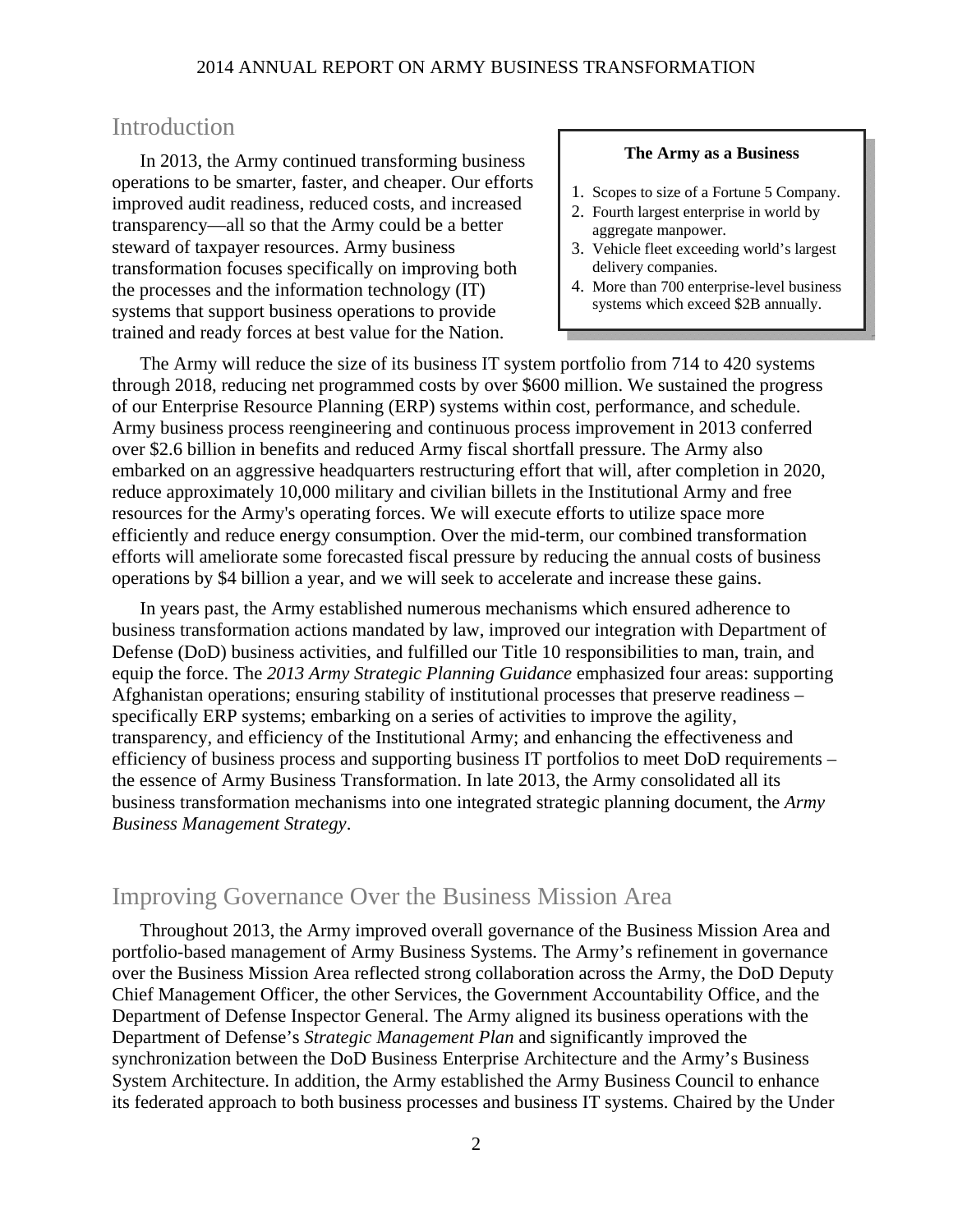### **Introduction**

In 2013, the Army continued transforming business operations to be smarter, faster, and cheaper. Our efforts improved audit readiness, reduced costs, and increased transparency—all so that the Army could be a better steward of taxpayer resources. Army business transformation focuses specifically on improving both the processes and the information technology (IT) systems that support business operations to provide trained and ready forces at best value for the Nation.

#### **The Army as a Business**

- 1. Scopes to size of a Fortune 5 Company.
- 2. Fourth largest enterprise in world by aggregate manpower.
- 3. Vehicle fleet exceeding world's largest delivery companies.
- 4. More than 700 enterprise-level business systems which exceed \$2B annually.

The Army will reduce the size of its business IT system portfolio from 714 to 420 systems through 2018, reducing net programmed costs by over \$600 million. We sustained the progress of our Enterprise Resource Planning (ERP) systems within cost, performance, and schedule. Army business process reengineering and continuous process improvement in 2013 conferred over \$2.6 billion in benefits and reduced Army fiscal shortfall pressure. The Army also embarked on an aggressive headquarters restructuring effort that will, after completion in 2020, reduce approximately 10,000 military and civilian billets in the Institutional Army and free resources for the Army's operating forces. We will execute efforts to utilize space more efficiently and reduce energy consumption. Over the mid-term, our combined transformation efforts will ameliorate some forecasted fiscal pressure by reducing the annual costs of business operations by \$4 billion a year, and we will seek to accelerate and increase these gains.

In years past, the Army established numerous mechanisms which ensured adherence to business transformation actions mandated by law, improved our integration with Department of Defense (DoD) business activities, and fulfilled our Title 10 responsibilities to man, train, and equip the force. The *2013 Army Strategic Planning Guidance* emphasized four areas: supporting Afghanistan operations; ensuring stability of institutional processes that preserve readiness – specifically ERP systems; embarking on a series of activities to improve the agility, transparency, and efficiency of the Institutional Army; and enhancing the effectiveness and efficiency of business process and supporting business IT portfolios to meet DoD requirements – the essence of Army Business Transformation. In late 2013, the Army consolidated all its business transformation mechanisms into one integrated strategic planning document, the *Army Business Management Strategy*.

### Improving Governance Over the Business Mission Area

Throughout 2013, the Army improved overall governance of the Business Mission Area and portfolio-based management of Army Business Systems. The Army's refinement in governance over the Business Mission Area reflected strong collaboration across the Army, the DoD Deputy Chief Management Officer, the other Services, the Government Accountability Office, and the Department of Defense Inspector General. The Army aligned its business operations with the Department of Defense's *Strategic Management Plan* and significantly improved the synchronization between the DoD Business Enterprise Architecture and the Army's Business System Architecture. In addition, the Army established the Army Business Council to enhance its federated approach to both business processes and business IT systems. Chaired by the Under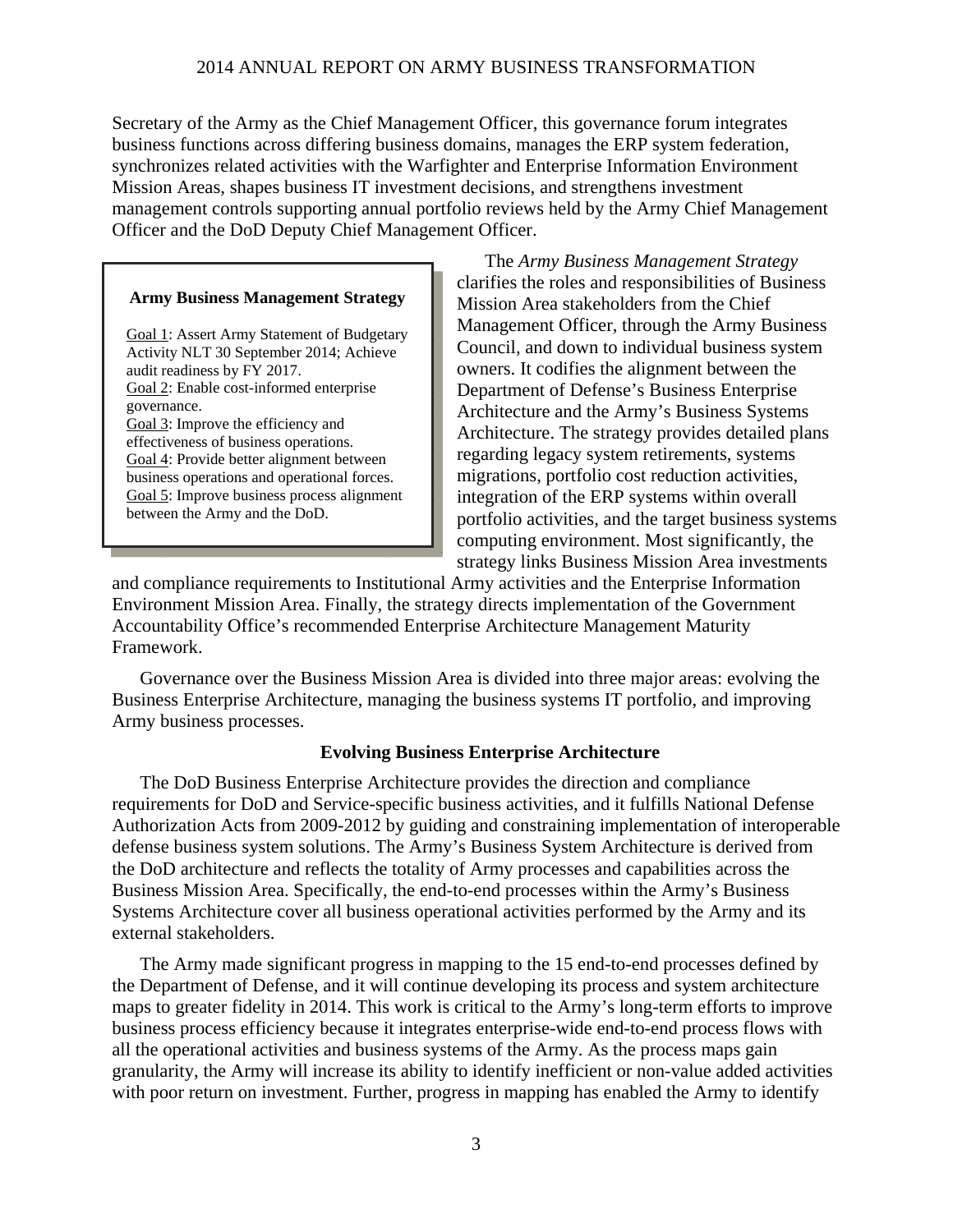Secretary of the Army as the Chief Management Officer, this governance forum integrates business functions across differing business domains, manages the ERP system federation, synchronizes related activities with the Warfighter and Enterprise Information Environment Mission Areas, shapes business IT investment decisions, and strengthens investment management controls supporting annual portfolio reviews held by the Army Chief Management Officer and the DoD Deputy Chief Management Officer.

### **Army Business Management Strategy**

Goal 1: Assert Army Statement of Budgetary Activity NLT 30 September 2014; Achieve audit readiness by FY 2017. Goal 2: Enable cost-informed enterprise governance. Goal 3: Improve the efficiency and effectiveness of business operations. Goal 4: Provide better alignment between business operations and operational forces. Goal 5: Improve business process alignment between the Army and the DoD.

The *Army Business Management Strategy* clarifies the roles and responsibilities of Business Mission Area stakeholders from the Chief Management Officer, through the Army Business Council, and down to individual business system owners. It codifies the alignment between the Department of Defense's Business Enterprise Architecture and the Army's Business Systems Architecture. The strategy provides detailed plans regarding legacy system retirements, systems migrations, portfolio cost reduction activities, integration of the ERP systems within overall portfolio activities, and the target business systems computing environment. Most significantly, the strategy links Business Mission Area investments

and compliance requirements to Institutional Army activities and the Enterprise Information Environment Mission Area. Finally, the strategy directs implementation of the Government Accountability Office's recommended Enterprise Architecture Management Maturity Framework.

Governance over the Business Mission Area is divided into three major areas: evolving the Business Enterprise Architecture, managing the business systems IT portfolio, and improving Army business processes.

### **Evolving Business Enterprise Architecture**

The DoD Business Enterprise Architecture provides the direction and compliance requirements for DoD and Service-specific business activities, and it fulfills National Defense Authorization Acts from 2009-2012 by guiding and constraining implementation of interoperable defense business system solutions. The Army's Business System Architecture is derived from the DoD architecture and reflects the totality of Army processes and capabilities across the Business Mission Area. Specifically, the end-to-end processes within the Army's Business Systems Architecture cover all business operational activities performed by the Army and its external stakeholders.

The Army made significant progress in mapping to the 15 end-to-end processes defined by the Department of Defense, and it will continue developing its process and system architecture maps to greater fidelity in 2014. This work is critical to the Army's long-term efforts to improve business process efficiency because it integrates enterprise-wide end-to-end process flows with all the operational activities and business systems of the Army. As the process maps gain granularity, the Army will increase its ability to identify inefficient or non-value added activities with poor return on investment. Further, progress in mapping has enabled the Army to identify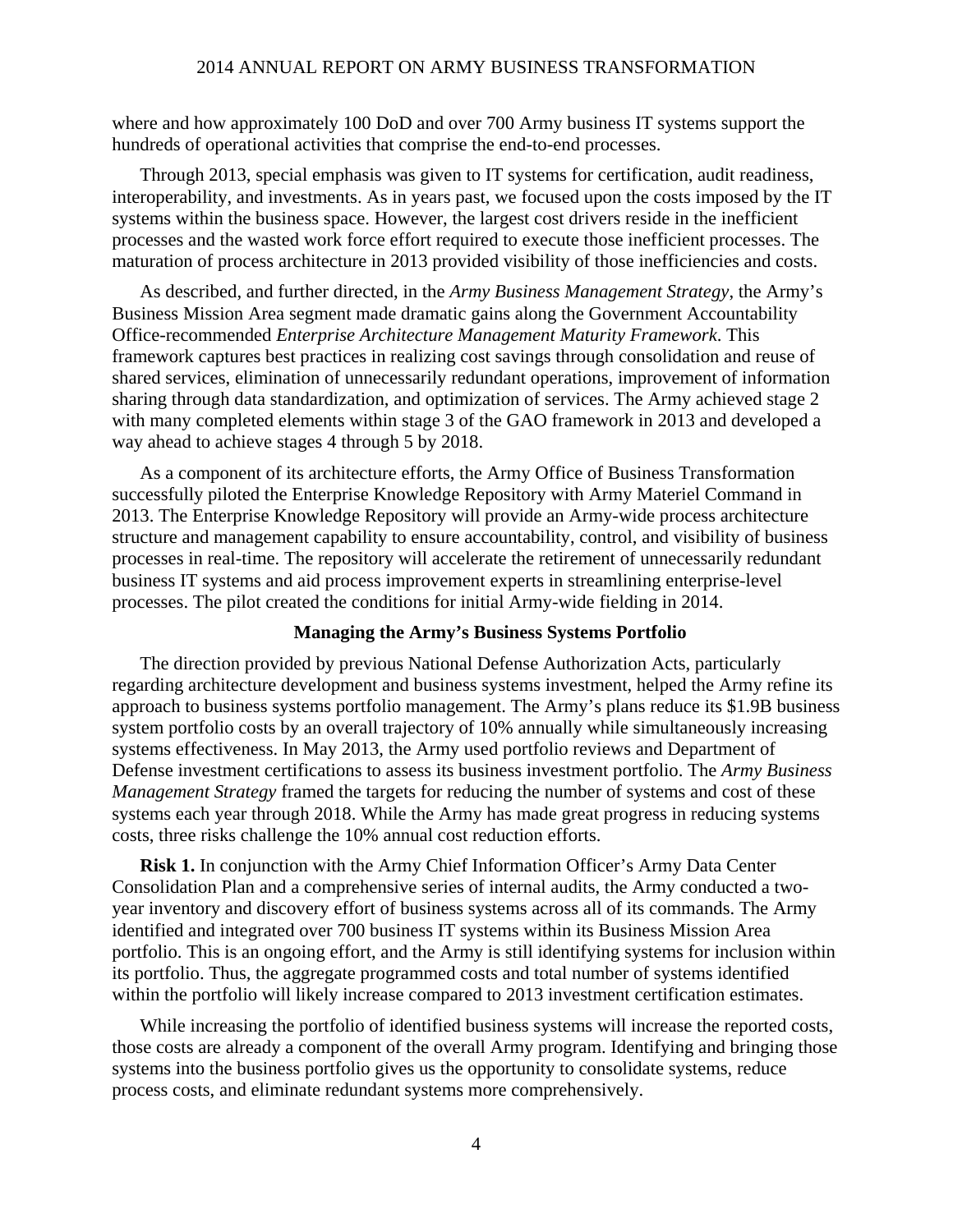where and how approximately 100 DoD and over 700 Army business IT systems support the hundreds of operational activities that comprise the end-to-end processes.

Through 2013, special emphasis was given to IT systems for certification, audit readiness, interoperability, and investments. As in years past, we focused upon the costs imposed by the IT systems within the business space. However, the largest cost drivers reside in the inefficient processes and the wasted work force effort required to execute those inefficient processes. The maturation of process architecture in 2013 provided visibility of those inefficiencies and costs.

As described, and further directed, in the *Army Business Management Strategy*, the Army's Business Mission Area segment made dramatic gains along the Government Accountability Office-recommended *Enterprise Architecture Management Maturity Framework*. This framework captures best practices in realizing cost savings through consolidation and reuse of shared services, elimination of unnecessarily redundant operations, improvement of information sharing through data standardization, and optimization of services. The Army achieved stage 2 with many completed elements within stage 3 of the GAO framework in 2013 and developed a way ahead to achieve stages 4 through 5 by 2018.

As a component of its architecture efforts, the Army Office of Business Transformation successfully piloted the Enterprise Knowledge Repository with Army Materiel Command in 2013. The Enterprise Knowledge Repository will provide an Army-wide process architecture structure and management capability to ensure accountability, control, and visibility of business processes in real-time. The repository will accelerate the retirement of unnecessarily redundant business IT systems and aid process improvement experts in streamlining enterprise-level processes. The pilot created the conditions for initial Army-wide fielding in 2014.

#### **Managing the Army's Business Systems Portfolio**

The direction provided by previous National Defense Authorization Acts, particularly regarding architecture development and business systems investment, helped the Army refine its approach to business systems portfolio management. The Army's plans reduce its \$1.9B business system portfolio costs by an overall trajectory of 10% annually while simultaneously increasing systems effectiveness. In May 2013, the Army used portfolio reviews and Department of Defense investment certifications to assess its business investment portfolio. The *Army Business Management Strategy* framed the targets for reducing the number of systems and cost of these systems each year through 2018. While the Army has made great progress in reducing systems costs, three risks challenge the 10% annual cost reduction efforts.

**Risk 1.** In conjunction with the Army Chief Information Officer's Army Data Center Consolidation Plan and a comprehensive series of internal audits, the Army conducted a twoyear inventory and discovery effort of business systems across all of its commands. The Army identified and integrated over 700 business IT systems within its Business Mission Area portfolio. This is an ongoing effort, and the Army is still identifying systems for inclusion within its portfolio. Thus, the aggregate programmed costs and total number of systems identified within the portfolio will likely increase compared to 2013 investment certification estimates.

While increasing the portfolio of identified business systems will increase the reported costs, those costs are already a component of the overall Army program. Identifying and bringing those systems into the business portfolio gives us the opportunity to consolidate systems, reduce process costs, and eliminate redundant systems more comprehensively.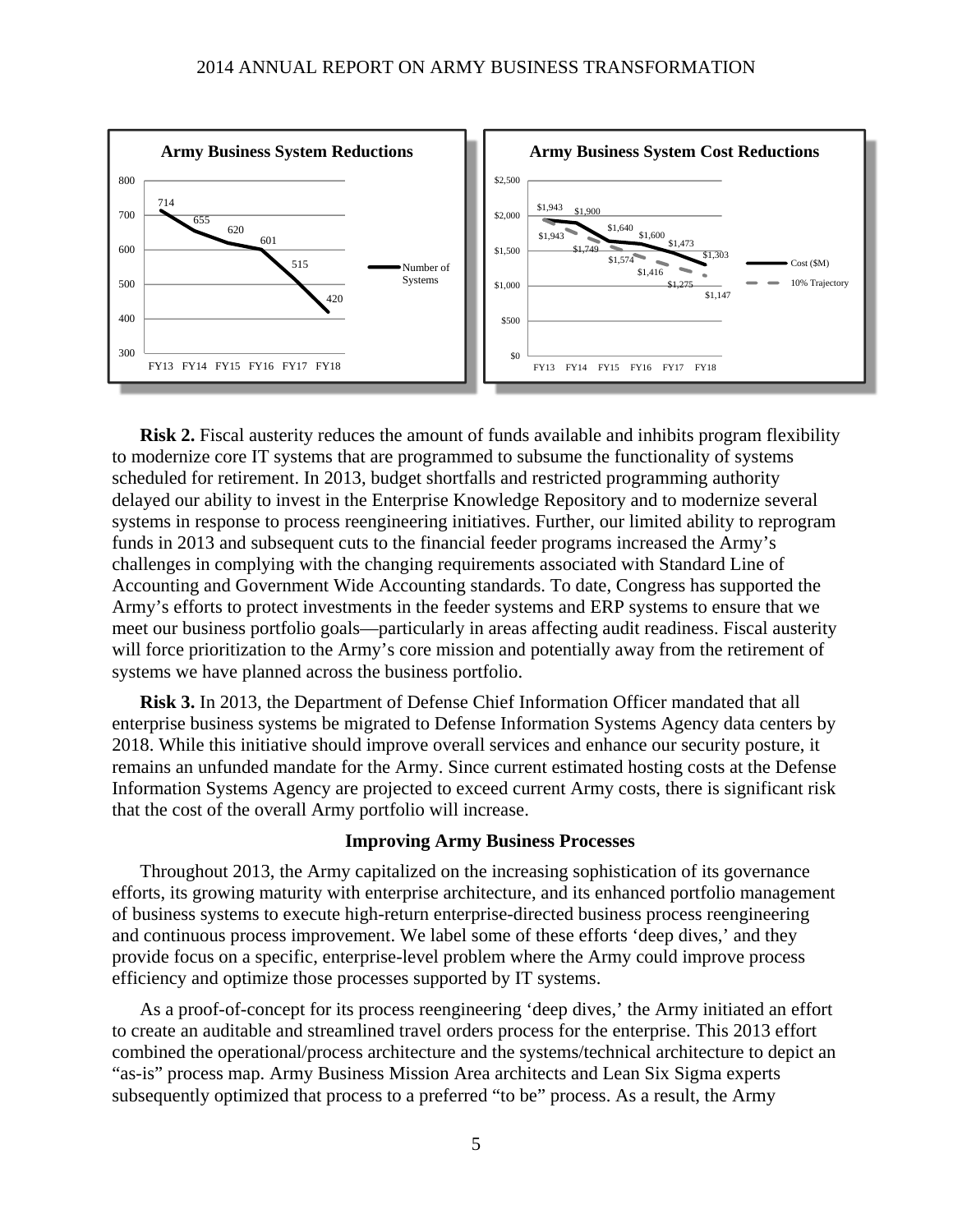

**Risk 2.** Fiscal austerity reduces the amount of funds available and inhibits program flexibility to modernize core IT systems that are programmed to subsume the functionality of systems scheduled for retirement. In 2013, budget shortfalls and restricted programming authority delayed our ability to invest in the Enterprise Knowledge Repository and to modernize several systems in response to process reengineering initiatives. Further, our limited ability to reprogram funds in 2013 and subsequent cuts to the financial feeder programs increased the Army's challenges in complying with the changing requirements associated with Standard Line of Accounting and Government Wide Accounting standards. To date, Congress has supported the Army's efforts to protect investments in the feeder systems and ERP systems to ensure that we meet our business portfolio goals—particularly in areas affecting audit readiness. Fiscal austerity will force prioritization to the Army's core mission and potentially away from the retirement of systems we have planned across the business portfolio.

**Risk 3.** In 2013, the Department of Defense Chief Information Officer mandated that all enterprise business systems be migrated to Defense Information Systems Agency data centers by 2018. While this initiative should improve overall services and enhance our security posture, it remains an unfunded mandate for the Army. Since current estimated hosting costs at the Defense Information Systems Agency are projected to exceed current Army costs, there is significant risk that the cost of the overall Army portfolio will increase.

#### **Improving Army Business Processes**

Throughout 2013, the Army capitalized on the increasing sophistication of its governance efforts, its growing maturity with enterprise architecture, and its enhanced portfolio management of business systems to execute high-return enterprise-directed business process reengineering and continuous process improvement. We label some of these efforts 'deep dives,' and they provide focus on a specific, enterprise-level problem where the Army could improve process efficiency and optimize those processes supported by IT systems.

As a proof-of-concept for its process reengineering 'deep dives,' the Army initiated an effort to create an auditable and streamlined travel orders process for the enterprise. This 2013 effort combined the operational/process architecture and the systems/technical architecture to depict an "as-is" process map. Army Business Mission Area architects and Lean Six Sigma experts subsequently optimized that process to a preferred "to be" process. As a result, the Army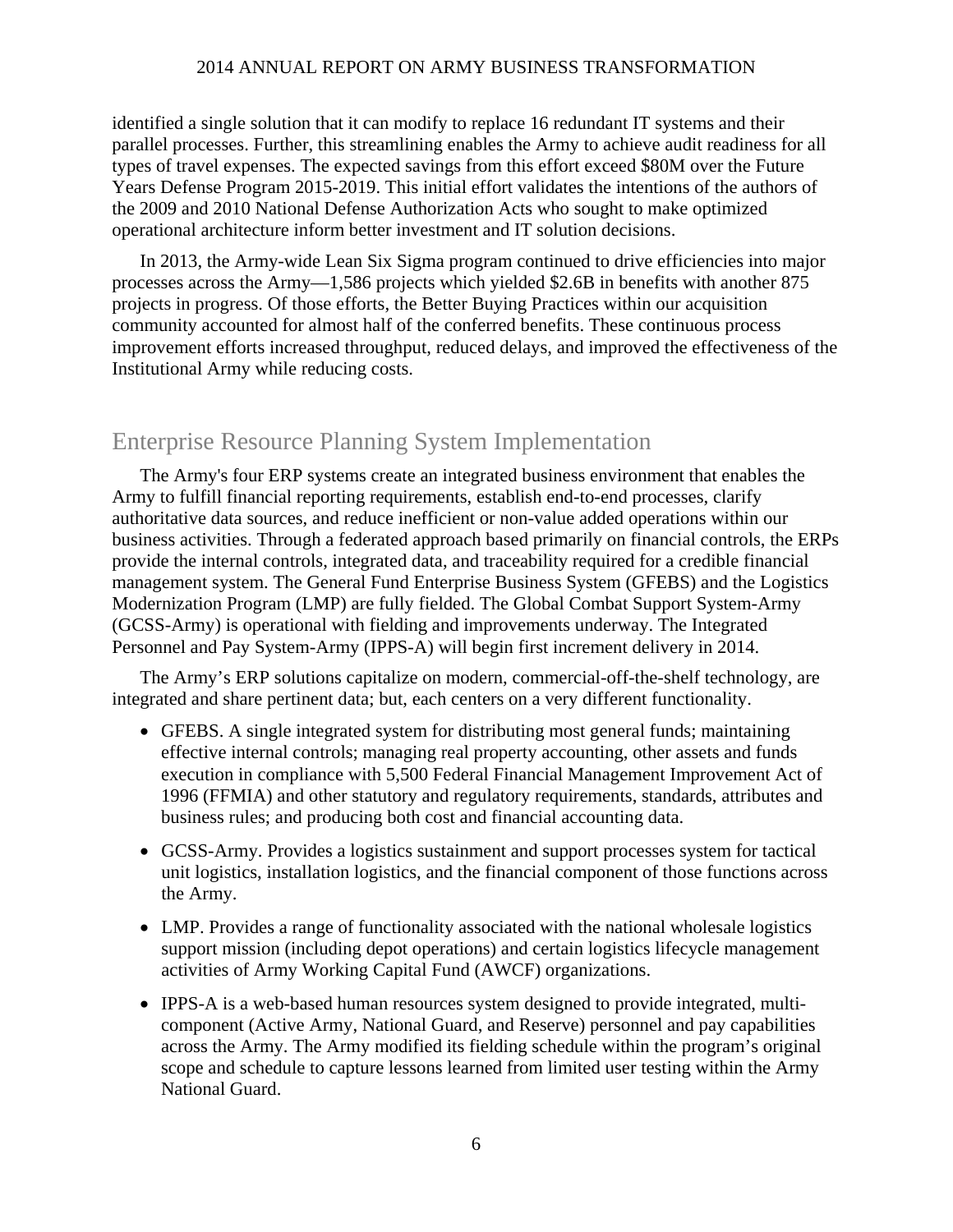identified a single solution that it can modify to replace 16 redundant IT systems and their parallel processes. Further, this streamlining enables the Army to achieve audit readiness for all types of travel expenses. The expected savings from this effort exceed \$80M over the Future Years Defense Program 2015-2019. This initial effort validates the intentions of the authors of the 2009 and 2010 National Defense Authorization Acts who sought to make optimized operational architecture inform better investment and IT solution decisions.

In 2013, the Army-wide Lean Six Sigma program continued to drive efficiencies into major processes across the Army—1,586 projects which yielded \$2.6B in benefits with another 875 projects in progress. Of those efforts, the Better Buying Practices within our acquisition community accounted for almost half of the conferred benefits. These continuous process improvement efforts increased throughput, reduced delays, and improved the effectiveness of the Institutional Army while reducing costs.

### Enterprise Resource Planning System Implementation

The Army's four ERP systems create an integrated business environment that enables the Army to fulfill financial reporting requirements, establish end-to-end processes, clarify authoritative data sources, and reduce inefficient or non-value added operations within our business activities. Through a federated approach based primarily on financial controls, the ERPs provide the internal controls, integrated data, and traceability required for a credible financial management system. The General Fund Enterprise Business System (GFEBS) and the Logistics Modernization Program (LMP) are fully fielded. The Global Combat Support System-Army (GCSS-Army) is operational with fielding and improvements underway. The Integrated Personnel and Pay System-Army (IPPS-A) will begin first increment delivery in 2014.

The Army's ERP solutions capitalize on modern, commercial-off-the-shelf technology, are integrated and share pertinent data; but, each centers on a very different functionality.

- GFEBS. A single integrated system for distributing most general funds; maintaining effective internal controls; managing real property accounting, other assets and funds execution in compliance with 5,500 Federal Financial Management Improvement Act of 1996 (FFMIA) and other statutory and regulatory requirements, standards, attributes and business rules; and producing both cost and financial accounting data.
- GCSS-Army. Provides a logistics sustainment and support processes system for tactical unit logistics, installation logistics, and the financial component of those functions across the Army.
- LMP. Provides a range of functionality associated with the national wholesale logistics support mission (including depot operations) and certain logistics lifecycle management activities of Army Working Capital Fund (AWCF) organizations.
- IPPS-A is a web-based human resources system designed to provide integrated, multicomponent (Active Army, National Guard, and Reserve) personnel and pay capabilities across the Army. The Army modified its fielding schedule within the program's original scope and schedule to capture lessons learned from limited user testing within the Army National Guard.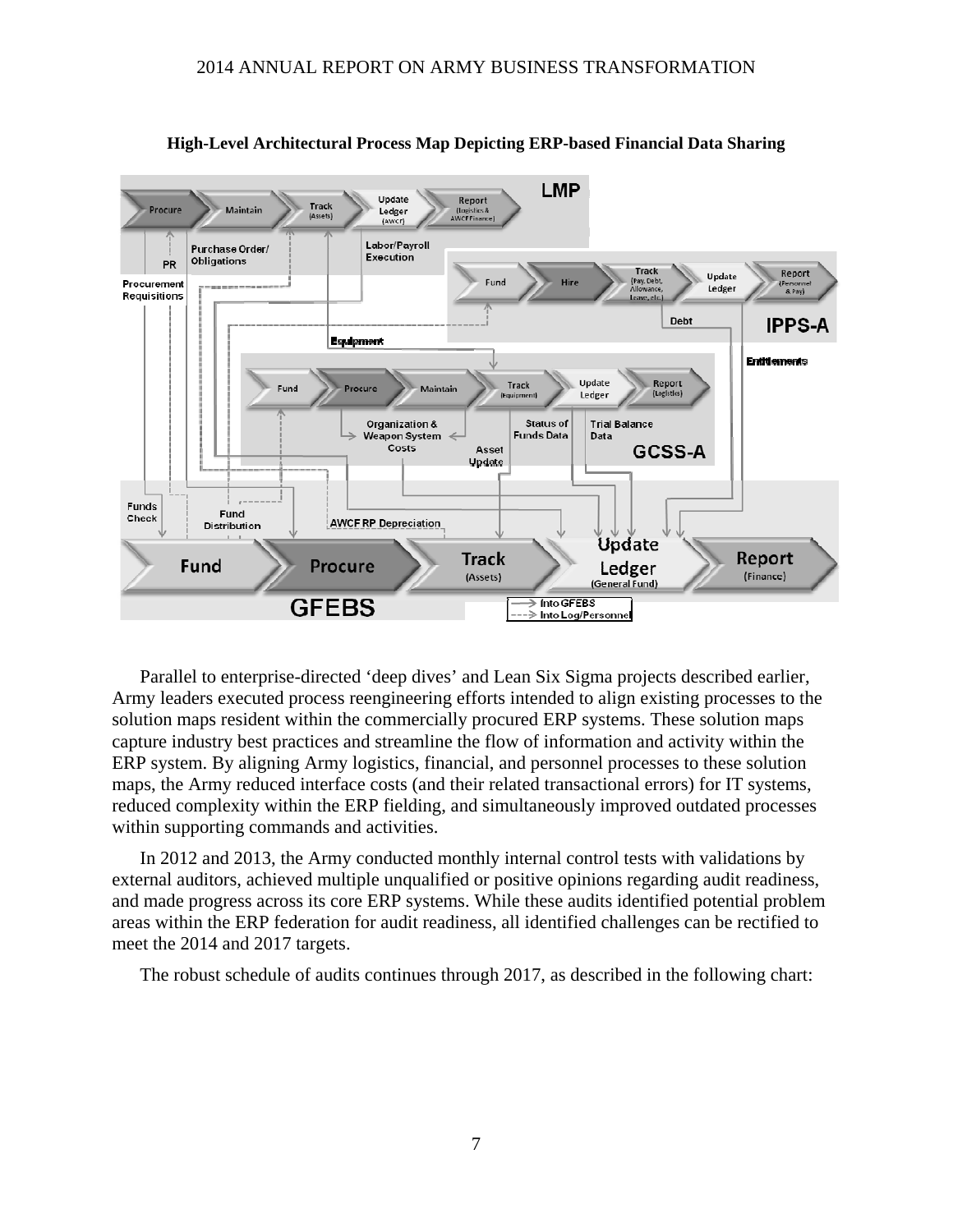

**High-Level Architectural Process Map Depicting ERP-based Financial Data Sharing** 

Parallel to enterprise-directed 'deep dives' and Lean Six Sigma projects described earlier, Army leaders executed process reengineering efforts intended to align existing processes to the solution maps resident within the commercially procured ERP systems. These solution maps capture industry best practices and streamline the flow of information and activity within the ERP system. By aligning Army logistics, financial, and personnel processes to these solution maps, the Army reduced interface costs (and their related transactional errors) for IT systems, reduced complexity within the ERP fielding, and simultaneously improved outdated processes within supporting commands and activities.

In 2012 and 2013, the Army conducted monthly internal control tests with validations by external auditors, achieved multiple unqualified or positive opinions regarding audit readiness, and made progress across its core ERP systems. While these audits identified potential problem areas within the ERP federation for audit readiness, all identified challenges can be rectified to meet the 2014 and 2017 targets.

The robust schedule of audits continues through 2017, as described in the following chart: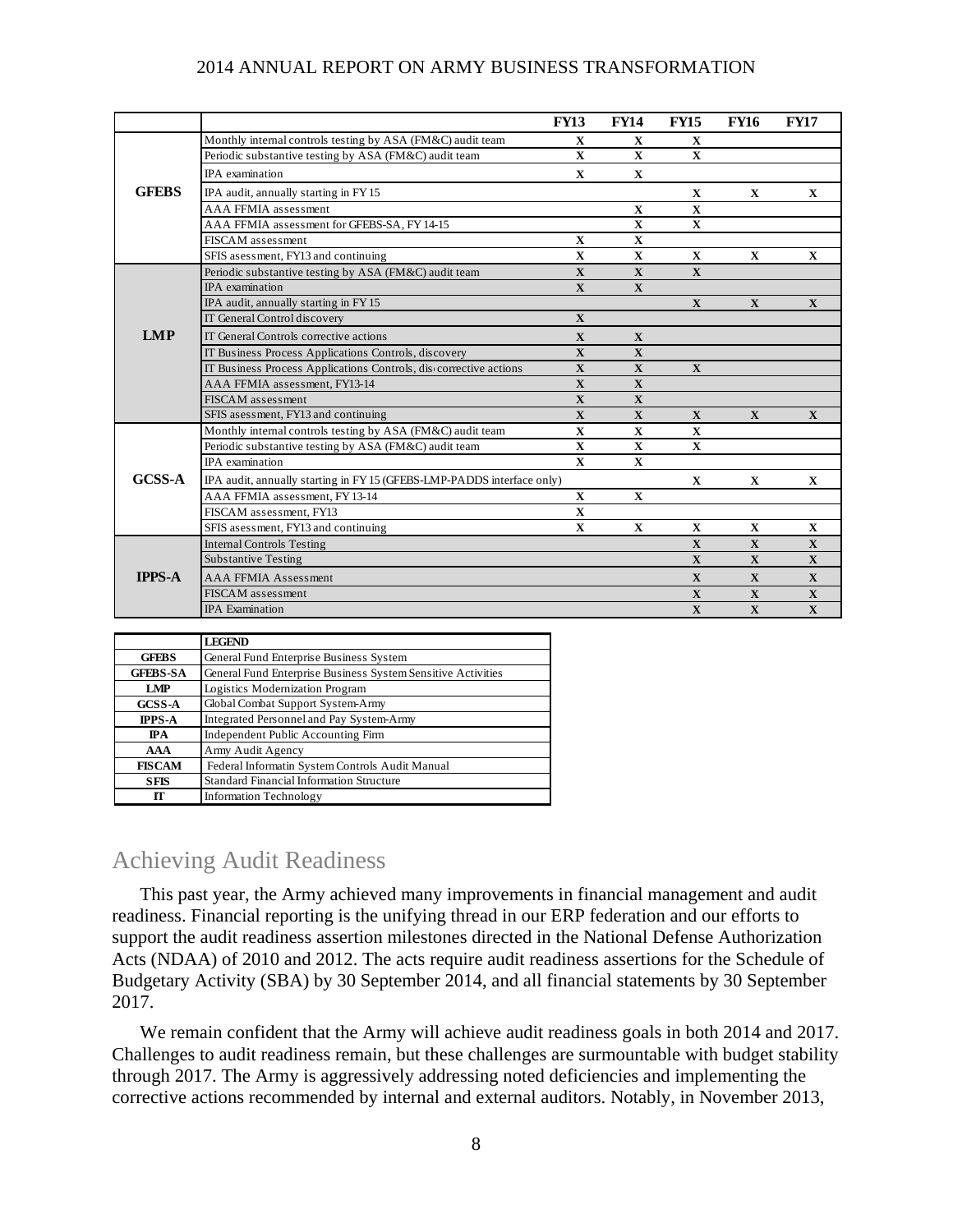|               |                                                                       | <b>FY13</b>  | <b>FY14</b>  | <b>FY15</b>  | <b>FY16</b>  | <b>FY17</b>  |
|---------------|-----------------------------------------------------------------------|--------------|--------------|--------------|--------------|--------------|
|               | Monthly internal controls testing by ASA (FM&C) audit team            | X            | X            | X            |              |              |
|               | Periodic substantive testing by ASA (FM&C) audit team                 | $\mathbf{X}$ | $\mathbf{X}$ | $\mathbf{X}$ |              |              |
|               | <b>IPA</b> examination                                                | $\mathbf X$  | $\mathbf{X}$ |              |              |              |
| <b>GFEBS</b>  | IPA audit, annually starting in FY 15                                 |              |              | X            | $\mathbf X$  | X            |
|               | <b>AAA FFMIA</b> assessment                                           |              | $\mathbf X$  | $\mathbf{X}$ |              |              |
|               | AAA FFMIA assessment for GFEBS-SA, FY 14-15                           |              | $\mathbf X$  | $\mathbf{X}$ |              |              |
|               | FISCAM assessment                                                     | $\mathbf X$  | $\mathbf X$  |              |              |              |
|               | SFIS asessment, FY13 and continuing                                   | $\mathbf X$  | $\mathbf X$  | $\mathbf X$  | $\mathbf X$  | $\mathbf X$  |
|               | Periodic substantive testing by ASA (FM&C) audit team                 | $\mathbf{X}$ | $\mathbf X$  | $\mathbf{X}$ |              |              |
|               | <b>IPA</b> examination                                                | $\mathbf{X}$ | $\mathbf X$  |              |              |              |
|               | IPA audit, annually starting in FY 15                                 |              |              | $\mathbf{X}$ | $\mathbf X$  | $\mathbf X$  |
| <b>LMP</b>    | IT General Control discovery                                          | $\mathbf{X}$ |              |              |              |              |
|               | IT General Controls corrective actions                                | $\mathbf{X}$ | X            |              |              |              |
|               | IT Business Process Applications Controls, discovery                  | $\mathbf{X}$ | $\mathbf{X}$ |              |              |              |
|               | IT Business Process Applications Controls, discorrective actions      | $\mathbf X$  | $\mathbf X$  | $\mathbf X$  |              |              |
|               | AAA FFMIA assessment, FY13-14                                         | $\mathbf X$  | $\mathbf X$  |              |              |              |
|               | <b>FISCAM</b> assessment                                              | $\mathbf{X}$ | $\mathbf X$  |              |              |              |
|               | SFIS asessment, FY13 and continuing                                   | $\mathbf{X}$ | $\mathbf{X}$ | $\mathbf{X}$ | $\mathbf{X}$ | $\mathbf{X}$ |
|               | Monthly internal controls testing by ASA (FM&C) audit team            | $\mathbf X$  | $\mathbf X$  | $\mathbf X$  |              |              |
| <b>GCSS-A</b> | Periodic substantive testing by ASA (FM&C) audit team                 | X            | X            | X            |              |              |
|               | IPA examination                                                       | $\mathbf{x}$ | $\mathbf X$  |              |              |              |
|               | IPA audit, annually starting in FY15 (GFEBS-LMP-PADDS interface only) |              |              | $\mathbf{X}$ | $\mathbf{X}$ | $\mathbf X$  |
|               | AAA FFMIA assessment, FY 13-14                                        | $\mathbf X$  | $\mathbf{x}$ |              |              |              |
|               | FISCAM assessment, FY13                                               | $\mathbf{x}$ |              |              |              |              |
|               | SFIS asessment, FY13 and continuing                                   | $\mathbf X$  | $\mathbf X$  | $\mathbf X$  | $\mathbf{X}$ | $\mathbf X$  |
| <b>IPPS-A</b> | <b>Internal Controls Testing</b>                                      |              |              | $\mathbf X$  | $\mathbf X$  | $\mathbf X$  |
|               | <b>Substantive Testing</b>                                            |              |              | $\mathbf{X}$ | $\mathbf{X}$ | $\mathbf{X}$ |
|               | <b>AAA FFMIA Assessment</b>                                           |              |              | $\mathbf{X}$ | $\mathbf{X}$ | $\mathbf X$  |
|               | <b>FISCAM</b> assessment                                              |              |              | $\mathbf{X}$ | $\mathbf{X}$ | $\mathbf X$  |
|               | <b>IPA</b> Examination                                                |              |              | $\mathbf X$  | $\mathbf X$  | $\mathbf{X}$ |

|                 | <b>LEGEND</b>                                                |  |  |
|-----------------|--------------------------------------------------------------|--|--|
| <b>GFFBS</b>    | General Fund Enterprise Business System                      |  |  |
| <b>GFEBS-SA</b> | General Fund Enterprise Business System Sensitive Activities |  |  |
| LMP             | Logistics Modernization Program                              |  |  |
| <b>GCSS-A</b>   | Global Combat Support System-Army                            |  |  |
| <b>IPPS-A</b>   | Integrated Personnel and Pay System-Army                     |  |  |
| <b>IPA</b>      | Independent Public Accounting Firm                           |  |  |
| AAA             | Army Audit Agency                                            |  |  |
| <b>FISCAM</b>   | Federal Informatin System Controls Audit Manual              |  |  |
| <b>SFIS</b>     | Standard Financial Information Structure                     |  |  |
| rг              | <b>Information Technology</b>                                |  |  |

### Achieving Audit Readiness

This past year, the Army achieved many improvements in financial management and audit readiness. Financial reporting is the unifying thread in our ERP federation and our efforts to support the audit readiness assertion milestones directed in the National Defense Authorization Acts (NDAA) of 2010 and 2012. The acts require audit readiness assertions for the Schedule of Budgetary Activity (SBA) by 30 September 2014, and all financial statements by 30 September 2017.

We remain confident that the Army will achieve audit readiness goals in both 2014 and 2017. Challenges to audit readiness remain, but these challenges are surmountable with budget stability through 2017. The Army is aggressively addressing noted deficiencies and implementing the corrective actions recommended by internal and external auditors. Notably, in November 2013,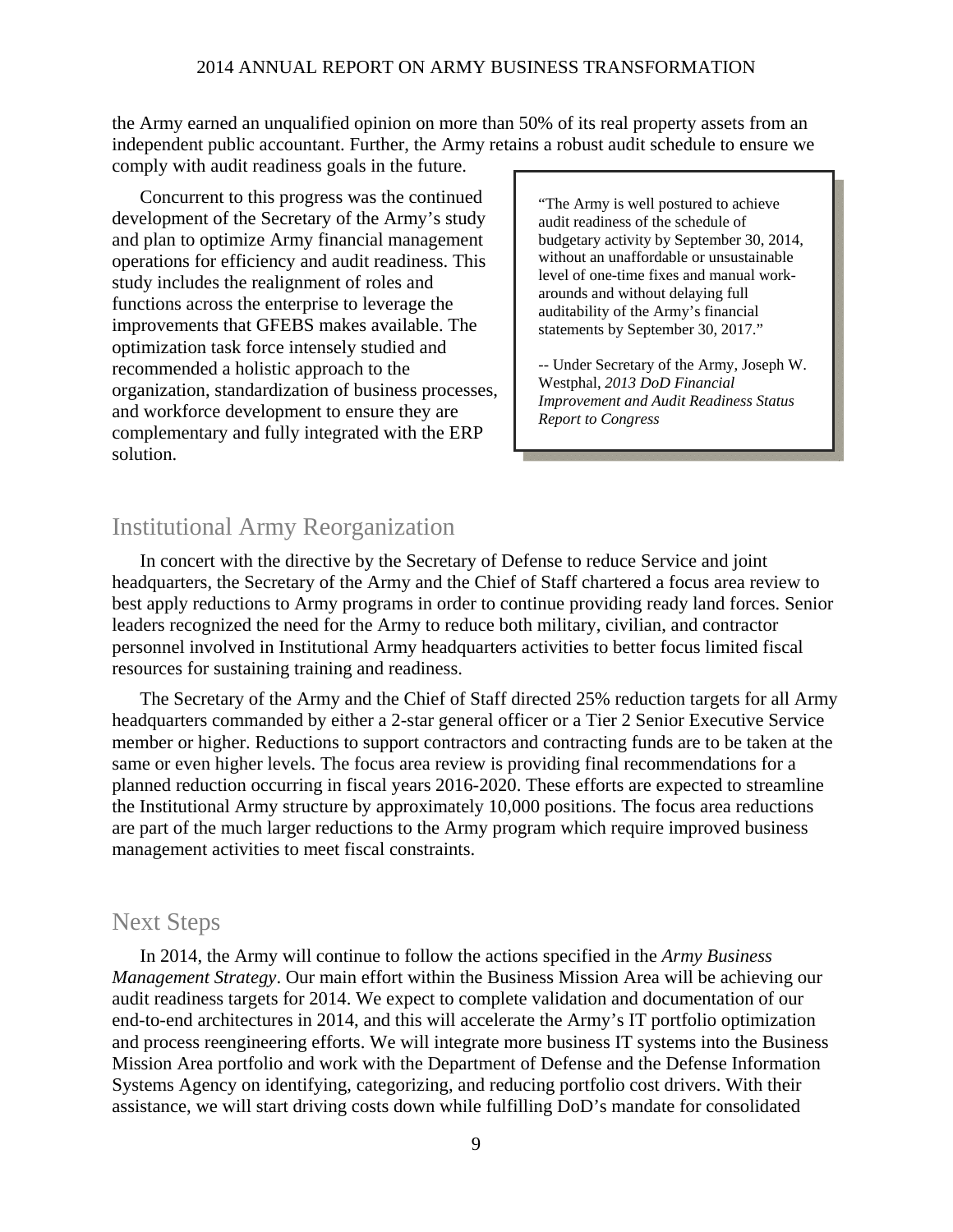the Army earned an unqualified opinion on more than 50% of its real property assets from an independent public accountant. Further, the Army retains a robust audit schedule to ensure we comply with audit readiness goals in the future.

Concurrent to this progress was the continued development of the Secretary of the Army's study and plan to optimize Army financial management operations for efficiency and audit readiness. This study includes the realignment of roles and functions across the enterprise to leverage the improvements that GFEBS makes available. The optimization task force intensely studied and recommended a holistic approach to the organization, standardization of business processes, and workforce development to ensure they are complementary and fully integrated with the ERP solution.

"The Army is well postured to achieve audit readiness of the schedule of budgetary activity by September 30, 2014, without an unaffordable or unsustainable level of one-time fixes and manual workarounds and without delaying full auditability of the Army's financial statements by September 30, 2017."

-- Under Secretary of the Army, Joseph W. Westphal, *2013 DoD Financial Improvement and Audit Readiness Status Report to Congress*

### Institutional Army Reorganization

In concert with the directive by the Secretary of Defense to reduce Service and joint headquarters, the Secretary of the Army and the Chief of Staff chartered a focus area review to best apply reductions to Army programs in order to continue providing ready land forces. Senior leaders recognized the need for the Army to reduce both military, civilian, and contractor personnel involved in Institutional Army headquarters activities to better focus limited fiscal resources for sustaining training and readiness.

The Secretary of the Army and the Chief of Staff directed 25% reduction targets for all Army headquarters commanded by either a 2-star general officer or a Tier 2 Senior Executive Service member or higher. Reductions to support contractors and contracting funds are to be taken at the same or even higher levels. The focus area review is providing final recommendations for a planned reduction occurring in fiscal years 2016-2020. These efforts are expected to streamline the Institutional Army structure by approximately 10,000 positions. The focus area reductions are part of the much larger reductions to the Army program which require improved business management activities to meet fiscal constraints.

### Next Steps

In 2014, the Army will continue to follow the actions specified in the *Army Business Management Strategy*. Our main effort within the Business Mission Area will be achieving our audit readiness targets for 2014. We expect to complete validation and documentation of our end-to-end architectures in 2014, and this will accelerate the Army's IT portfolio optimization and process reengineering efforts. We will integrate more business IT systems into the Business Mission Area portfolio and work with the Department of Defense and the Defense Information Systems Agency on identifying, categorizing, and reducing portfolio cost drivers. With their assistance, we will start driving costs down while fulfilling DoD's mandate for consolidated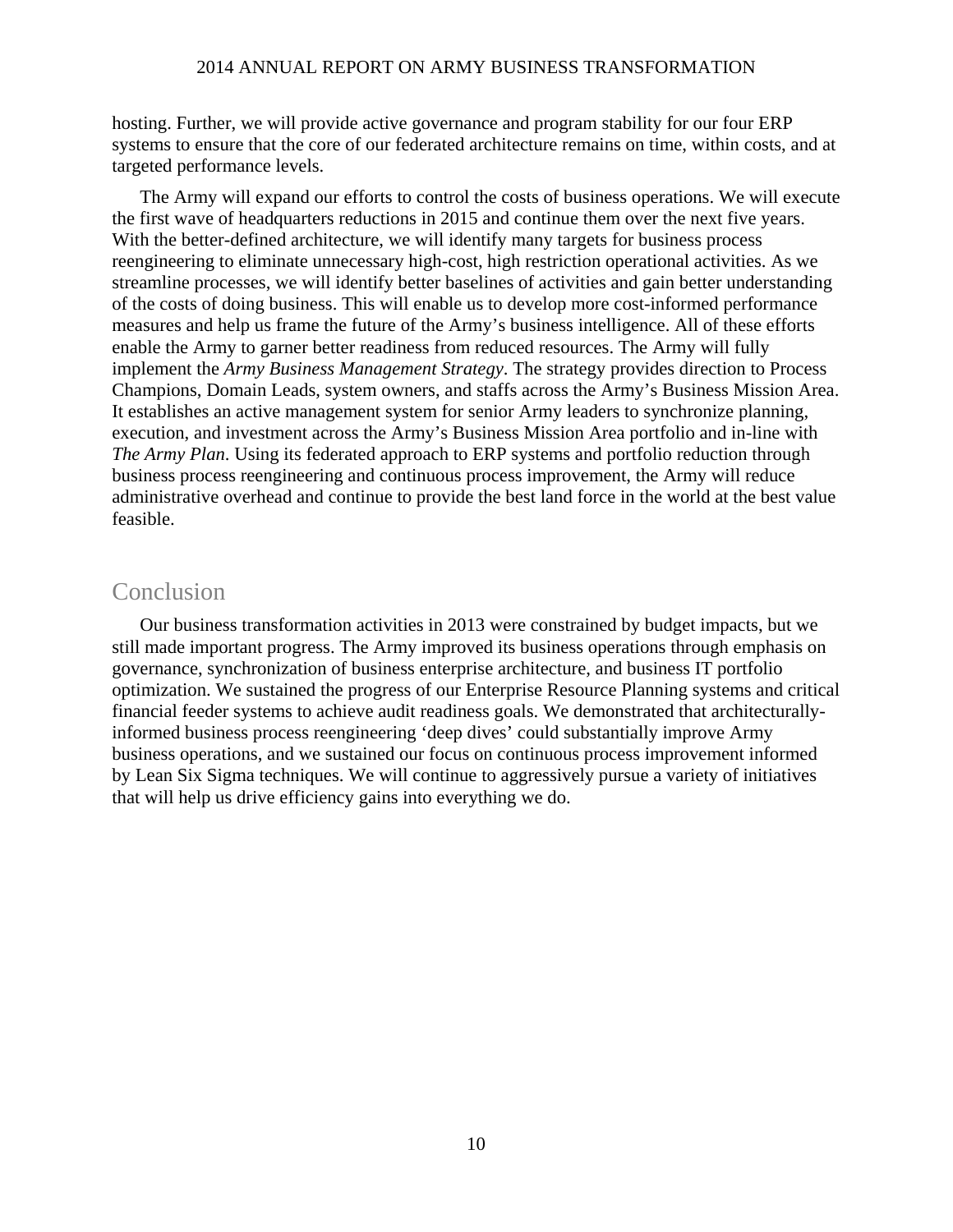hosting. Further, we will provide active governance and program stability for our four ERP systems to ensure that the core of our federated architecture remains on time, within costs, and at targeted performance levels.

The Army will expand our efforts to control the costs of business operations. We will execute the first wave of headquarters reductions in 2015 and continue them over the next five years. With the better-defined architecture, we will identify many targets for business process reengineering to eliminate unnecessary high-cost, high restriction operational activities. As we streamline processes, we will identify better baselines of activities and gain better understanding of the costs of doing business. This will enable us to develop more cost-informed performance measures and help us frame the future of the Army's business intelligence. All of these efforts enable the Army to garner better readiness from reduced resources. The Army will fully implement the *Army Business Management Strategy*. The strategy provides direction to Process Champions, Domain Leads, system owners, and staffs across the Army's Business Mission Area. It establishes an active management system for senior Army leaders to synchronize planning, execution, and investment across the Army's Business Mission Area portfolio and in-line with *The Army Plan*. Using its federated approach to ERP systems and portfolio reduction through business process reengineering and continuous process improvement, the Army will reduce administrative overhead and continue to provide the best land force in the world at the best value feasible.

### Conclusion

Our business transformation activities in 2013 were constrained by budget impacts, but we still made important progress. The Army improved its business operations through emphasis on governance, synchronization of business enterprise architecture, and business IT portfolio optimization. We sustained the progress of our Enterprise Resource Planning systems and critical financial feeder systems to achieve audit readiness goals. We demonstrated that architecturallyinformed business process reengineering 'deep dives' could substantially improve Army business operations, and we sustained our focus on continuous process improvement informed by Lean Six Sigma techniques. We will continue to aggressively pursue a variety of initiatives that will help us drive efficiency gains into everything we do.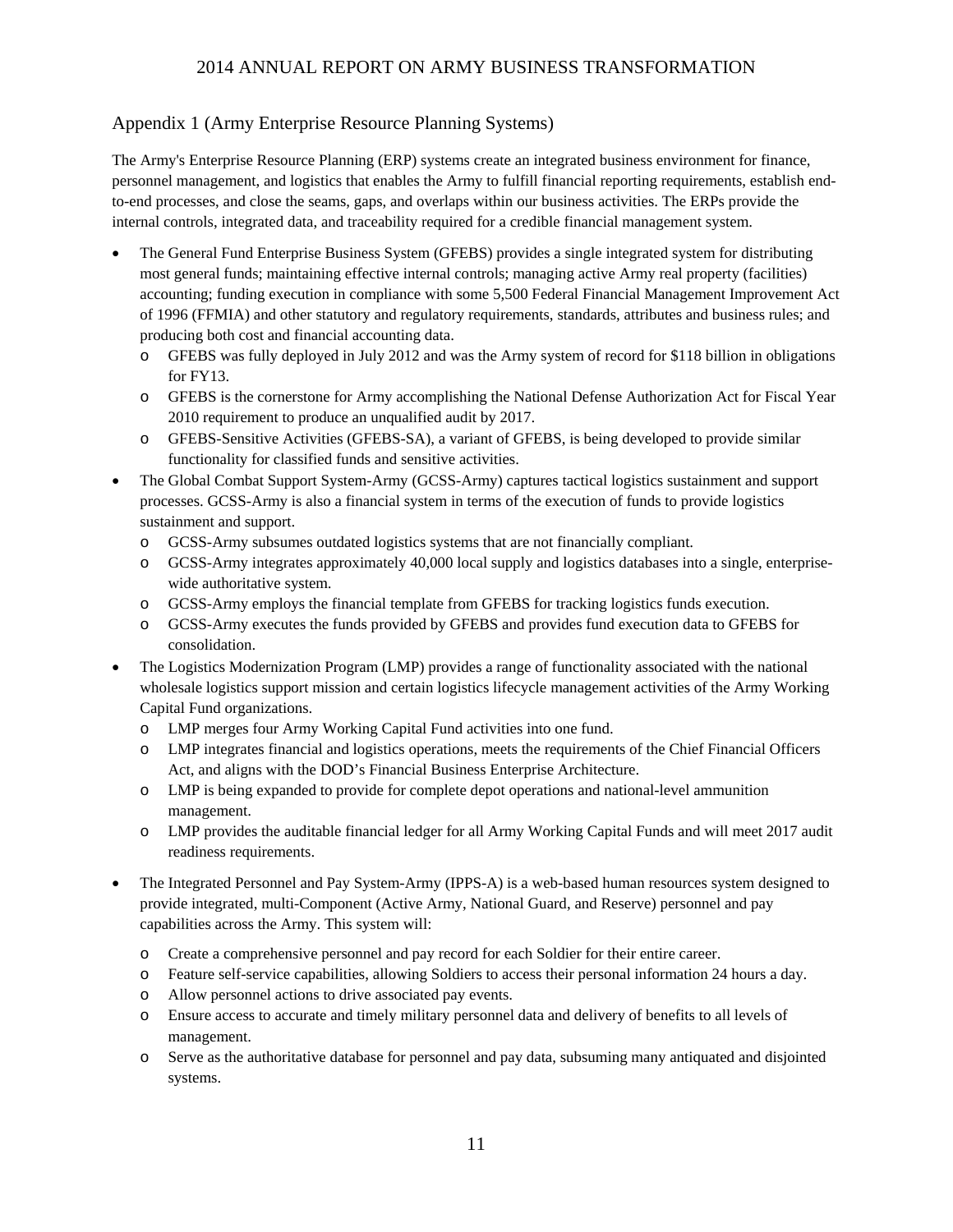### Appendix 1 (Army Enterprise Resource Planning Systems)

The Army's Enterprise Resource Planning (ERP) systems create an integrated business environment for finance, personnel management, and logistics that enables the Army to fulfill financial reporting requirements, establish endto-end processes, and close the seams, gaps, and overlaps within our business activities. The ERPs provide the internal controls, integrated data, and traceability required for a credible financial management system.

- The General Fund Enterprise Business System (GFEBS) provides a single integrated system for distributing most general funds; maintaining effective internal controls; managing active Army real property (facilities) accounting; funding execution in compliance with some 5,500 Federal Financial Management Improvement Act of 1996 (FFMIA) and other statutory and regulatory requirements, standards, attributes and business rules; and producing both cost and financial accounting data.
	- o GFEBS was fully deployed in July 2012 and was the Army system of record for \$118 billion in obligations for FY13.
	- o GFEBS is the cornerstone for Army accomplishing the National Defense Authorization Act for Fiscal Year 2010 requirement to produce an unqualified audit by 2017.
	- o GFEBS-Sensitive Activities (GFEBS-SA), a variant of GFEBS, is being developed to provide similar functionality for classified funds and sensitive activities.
- The Global Combat Support System-Army (GCSS-Army) captures tactical logistics sustainment and support processes. GCSS-Army is also a financial system in terms of the execution of funds to provide logistics sustainment and support.
	- o GCSS-Army subsumes outdated logistics systems that are not financially compliant.
	- o GCSS-Army integrates approximately 40,000 local supply and logistics databases into a single, enterprisewide authoritative system.
	- o GCSS-Army employs the financial template from GFEBS for tracking logistics funds execution.
	- o GCSS-Army executes the funds provided by GFEBS and provides fund execution data to GFEBS for consolidation.
- The Logistics Modernization Program (LMP) provides a range of functionality associated with the national wholesale logistics support mission and certain logistics lifecycle management activities of the Army Working Capital Fund organizations.
	- o LMP merges four Army Working Capital Fund activities into one fund.
	- o LMP integrates financial and logistics operations, meets the requirements of the Chief Financial Officers Act, and aligns with the DOD's Financial Business Enterprise Architecture.
	- o LMP is being expanded to provide for complete depot operations and national-level ammunition management.
	- o LMP provides the auditable financial ledger for all Army Working Capital Funds and will meet 2017 audit readiness requirements.
- The Integrated Personnel and Pay System-Army (IPPS-A) is a web-based human resources system designed to provide integrated, multi-Component (Active Army, National Guard, and Reserve) personnel and pay capabilities across the Army. This system will:
	- o Create a comprehensive personnel and pay record for each Soldier for their entire career.
	- o Feature self-service capabilities, allowing Soldiers to access their personal information 24 hours a day.
	- o Allow personnel actions to drive associated pay events.
	- o Ensure access to accurate and timely military personnel data and delivery of benefits to all levels of management.
	- o Serve as the authoritative database for personnel and pay data, subsuming many antiquated and disjointed systems.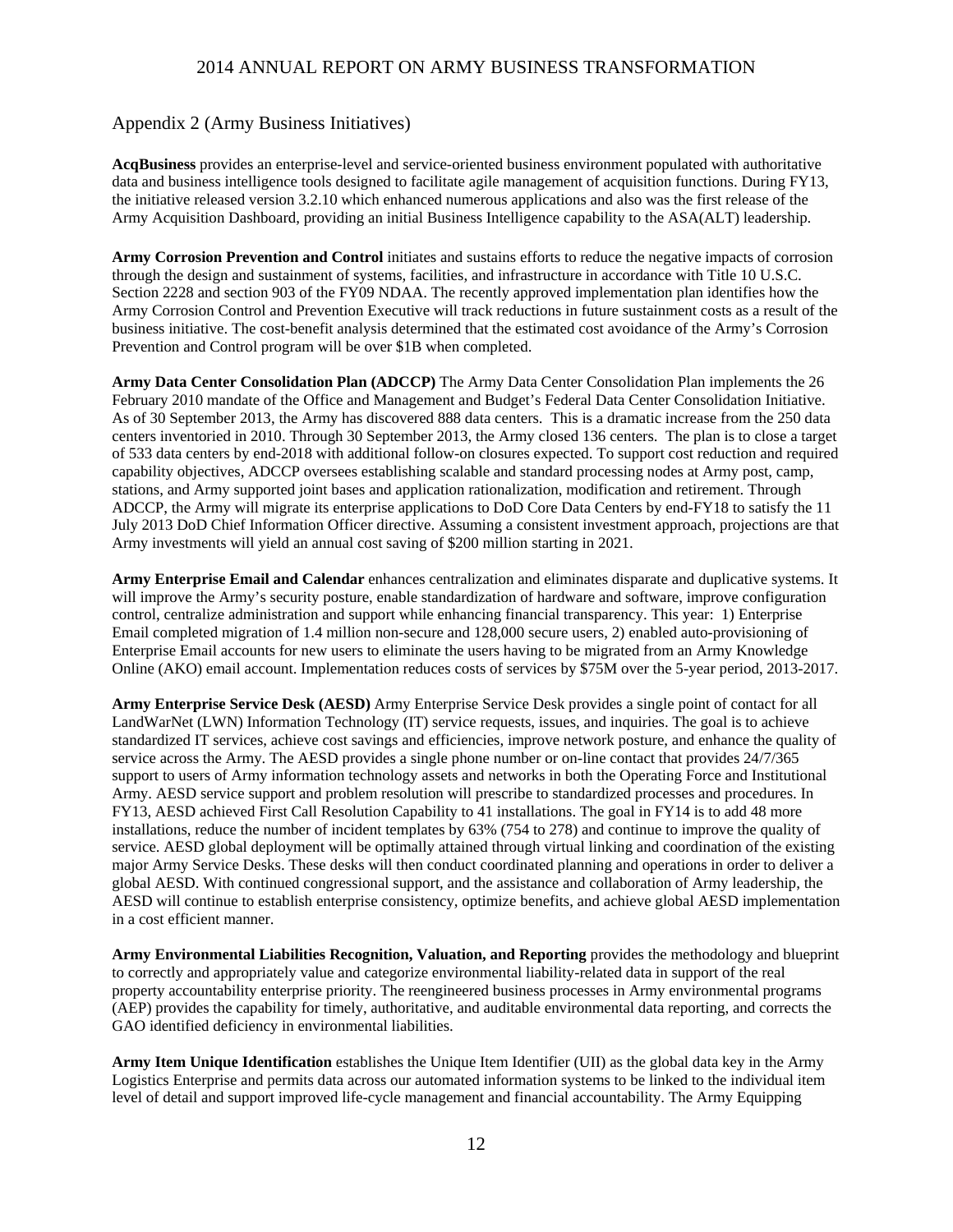#### Appendix 2 (Army Business Initiatives)

**AcqBusiness** provides an enterprise-level and service-oriented business environment populated with authoritative data and business intelligence tools designed to facilitate agile management of acquisition functions. During FY13, the initiative released version 3.2.10 which enhanced numerous applications and also was the first release of the Army Acquisition Dashboard, providing an initial Business Intelligence capability to the ASA(ALT) leadership.

**Army Corrosion Prevention and Control** initiates and sustains efforts to reduce the negative impacts of corrosion through the design and sustainment of systems, facilities, and infrastructure in accordance with Title 10 U.S.C. Section 2228 and section 903 of the FY09 NDAA. The recently approved implementation plan identifies how the Army Corrosion Control and Prevention Executive will track reductions in future sustainment costs as a result of the business initiative. The cost-benefit analysis determined that the estimated cost avoidance of the Army's Corrosion Prevention and Control program will be over \$1B when completed.

**Army Data Center Consolidation Plan (ADCCP)** The Army Data Center Consolidation Plan implements the 26 February 2010 mandate of the Office and Management and Budget's Federal Data Center Consolidation Initiative. As of 30 September 2013, the Army has discovered 888 data centers. This is a dramatic increase from the 250 data centers inventoried in 2010. Through 30 September 2013, the Army closed 136 centers. The plan is to close a target of 533 data centers by end-2018 with additional follow-on closures expected. To support cost reduction and required capability objectives, ADCCP oversees establishing scalable and standard processing nodes at Army post, camp, stations, and Army supported joint bases and application rationalization, modification and retirement. Through ADCCP, the Army will migrate its enterprise applications to DoD Core Data Centers by end-FY18 to satisfy the 11 July 2013 DoD Chief Information Officer directive. Assuming a consistent investment approach, projections are that Army investments will yield an annual cost saving of \$200 million starting in 2021.

**Army Enterprise Email and Calendar** enhances centralization and eliminates disparate and duplicative systems. It will improve the Army's security posture, enable standardization of hardware and software, improve configuration control, centralize administration and support while enhancing financial transparency. This year: 1) Enterprise Email completed migration of 1.4 million non-secure and 128,000 secure users, 2) enabled auto-provisioning of Enterprise Email accounts for new users to eliminate the users having to be migrated from an Army Knowledge Online (AKO) email account. Implementation reduces costs of services by \$75M over the 5-year period, 2013-2017.

**Army Enterprise Service Desk (AESD)** Army Enterprise Service Desk provides a single point of contact for all LandWarNet (LWN) Information Technology (IT) service requests, issues, and inquiries. The goal is to achieve standardized IT services, achieve cost savings and efficiencies, improve network posture, and enhance the quality of service across the Army. The AESD provides a single phone number or on-line contact that provides 24/7/365 support to users of Army information technology assets and networks in both the Operating Force and Institutional Army. AESD service support and problem resolution will prescribe to standardized processes and procedures. In FY13, AESD achieved First Call Resolution Capability to 41 installations. The goal in FY14 is to add 48 more installations, reduce the number of incident templates by 63% (754 to 278) and continue to improve the quality of service. AESD global deployment will be optimally attained through virtual linking and coordination of the existing major Army Service Desks. These desks will then conduct coordinated planning and operations in order to deliver a global AESD. With continued congressional support, and the assistance and collaboration of Army leadership, the AESD will continue to establish enterprise consistency, optimize benefits, and achieve global AESD implementation in a cost efficient manner.

**Army Environmental Liabilities Recognition, Valuation, and Reporting** provides the methodology and blueprint to correctly and appropriately value and categorize environmental liability-related data in support of the real property accountability enterprise priority. The reengineered business processes in Army environmental programs (AEP) provides the capability for timely, authoritative, and auditable environmental data reporting, and corrects the GAO identified deficiency in environmental liabilities.

**Army Item Unique Identification** establishes the Unique Item Identifier (UII) as the global data key in the Army Logistics Enterprise and permits data across our automated information systems to be linked to the individual item level of detail and support improved life-cycle management and financial accountability. The Army Equipping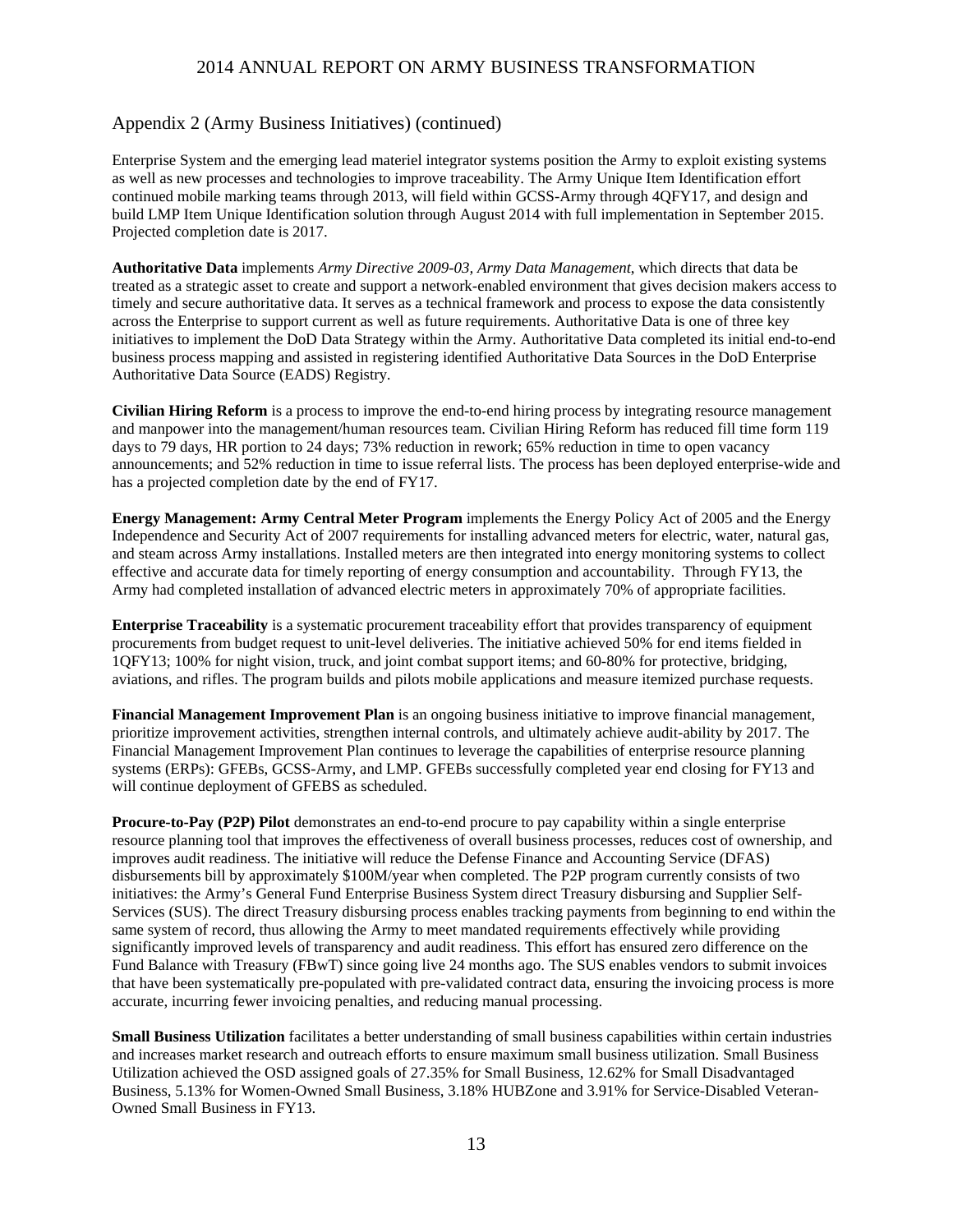#### Appendix 2 (Army Business Initiatives) (continued)

Enterprise System and the emerging lead materiel integrator systems position the Army to exploit existing systems as well as new processes and technologies to improve traceability. The Army Unique Item Identification effort continued mobile marking teams through 2013, will field within GCSS-Army through 4QFY17, and design and build LMP Item Unique Identification solution through August 2014 with full implementation in September 2015. Projected completion date is 2017.

**Authoritative Data** implements *Army Directive 2009-03, Army Data Management*, which directs that data be treated as a strategic asset to create and support a network-enabled environment that gives decision makers access to timely and secure authoritative data. It serves as a technical framework and process to expose the data consistently across the Enterprise to support current as well as future requirements. Authoritative Data is one of three key initiatives to implement the DoD Data Strategy within the Army. Authoritative Data completed its initial end-to-end business process mapping and assisted in registering identified Authoritative Data Sources in the DoD Enterprise Authoritative Data Source (EADS) Registry.

**Civilian Hiring Reform** is a process to improve the end-to-end hiring process by integrating resource management and manpower into the management/human resources team. Civilian Hiring Reform has reduced fill time form 119 days to 79 days, HR portion to 24 days; 73% reduction in rework; 65% reduction in time to open vacancy announcements; and 52% reduction in time to issue referral lists. The process has been deployed enterprise-wide and has a projected completion date by the end of FY17.

**Energy Management: Army Central Meter Program** implements the Energy Policy Act of 2005 and the Energy Independence and Security Act of 2007 requirements for installing advanced meters for electric, water, natural gas, and steam across Army installations. Installed meters are then integrated into energy monitoring systems to collect effective and accurate data for timely reporting of energy consumption and accountability. Through FY13, the Army had completed installation of advanced electric meters in approximately 70% of appropriate facilities.

**Enterprise Traceability** is a systematic procurement traceability effort that provides transparency of equipment procurements from budget request to unit-level deliveries. The initiative achieved 50% for end items fielded in 1QFY13; 100% for night vision, truck, and joint combat support items; and 60-80% for protective, bridging, aviations, and rifles. The program builds and pilots mobile applications and measure itemized purchase requests.

**Financial Management Improvement Plan** is an ongoing business initiative to improve financial management, prioritize improvement activities, strengthen internal controls, and ultimately achieve audit-ability by 2017. The Financial Management Improvement Plan continues to leverage the capabilities of enterprise resource planning systems (ERPs): GFEBs, GCSS-Army, and LMP. GFEBs successfully completed year end closing for FY13 and will continue deployment of GFEBS as scheduled.

**Procure-to-Pay (P2P) Pilot** demonstrates an end-to-end procure to pay capability within a single enterprise resource planning tool that improves the effectiveness of overall business processes, reduces cost of ownership, and improves audit readiness. The initiative will reduce the Defense Finance and Accounting Service (DFAS) disbursements bill by approximately \$100M/year when completed. The P2P program currently consists of two initiatives: the Army's General Fund Enterprise Business System direct Treasury disbursing and Supplier Self-Services (SUS). The direct Treasury disbursing process enables tracking payments from beginning to end within the same system of record, thus allowing the Army to meet mandated requirements effectively while providing significantly improved levels of transparency and audit readiness. This effort has ensured zero difference on the Fund Balance with Treasury (FBwT) since going live 24 months ago. The SUS enables vendors to submit invoices that have been systematically pre-populated with pre-validated contract data, ensuring the invoicing process is more accurate, incurring fewer invoicing penalties, and reducing manual processing.

**Small Business Utilization** facilitates a better understanding of small business capabilities within certain industries and increases market research and outreach efforts to ensure maximum small business utilization. Small Business Utilization achieved the OSD assigned goals of 27.35% for Small Business, 12.62% for Small Disadvantaged Business, 5.13% for Women-Owned Small Business, 3.18% HUBZone and 3.91% for Service-Disabled Veteran-Owned Small Business in FY13.